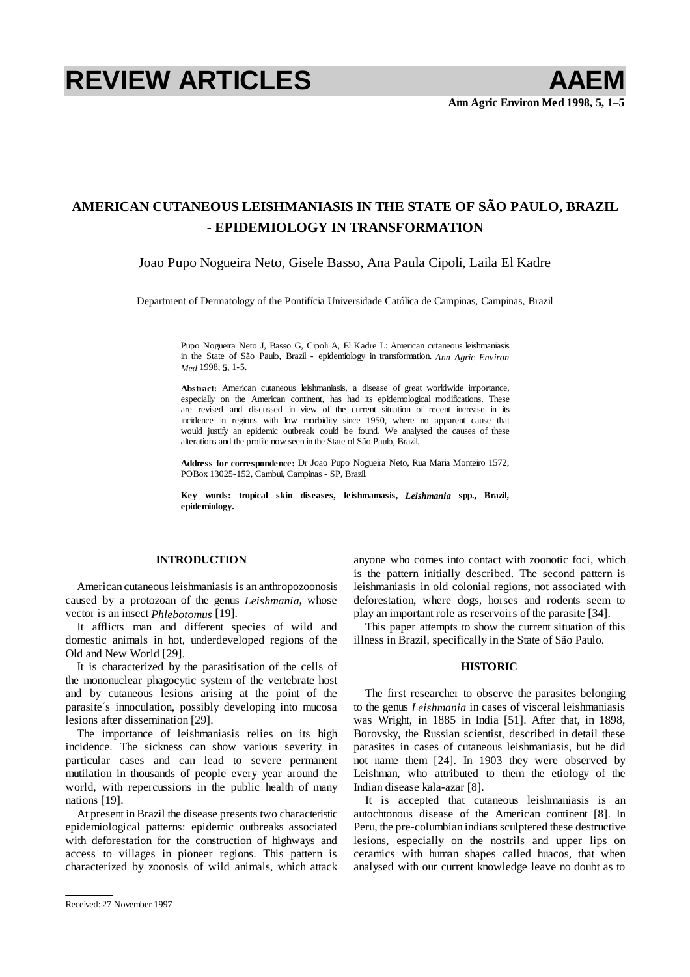# REVIEW ARTICLES **AAEM**

## **AMERICAN CUTANEOUS LEISHMANIASIS IN THE STATE OF SÃO PAULO, BRAZIL - EPIDEMIOLOGY IN TRANSFORMATION**

### Joao Pupo Nogueira Neto, Gisele Basso, Ana Paula Cipoli, Laila El Kadre

Department of Dermatology of the Pontifícia Universidade Católica de Campinas, Campinas, Brazil

Pupo Nogueira Neto J, Basso G, Cipoli A, El Kadre L: American cutaneous leishmaniasis in the State of São Paulo, Brazil - epidemiology in transformation. *Ann Agric Environ Med* 1998, **5**, 1-5.

**Abstract:** American cutaneous leishmaniasis, a disease of great worldwide importance, especially on the American continent, has had its epidemological modifications. These are revised and discussed in view of the current situation of recent increase in its incidence in regions with low morbidity since 1950, where no apparent cause that would justify an epidemic outbreak could be found. We analysed the causes of these alterations and the profile now seen in the State of São Paulo, Brazil.

**Address for correspondence:** Dr Joao Pupo Nogueira Neto, Rua Maria Monteiro 1572, POBox 13025-152, Cambui, Campinas - SP, Brazil.

**Key words: tropical skin diseases, leishmamasis,** *Leishmania* **spp., Brazil, epidemiology.** 

#### **INTRODUCTION**

American cutaneous leishmaniasis is an anthropozoonosis caused by a protozoan of the genus *Leishmania*, whose vector is an insect *Phlebotomus* [19].

It afflicts man and different species of wild and domestic animals in hot, underdeveloped regions of the Old and New World [29].

It is characterized by the parasitisation of the cells of the mononuclear phagocytic system of the vertebrate host and by cutaneous lesions arising at the point of the parasite´s innoculation, possibly developing into mucosa lesions after dissemination [29].

The importance of leishmaniasis relies on its high incidence. The sickness can show various severity in particular cases and can lead to severe permanent mutilation in thousands of people every year around the world, with repercussions in the public health of many nations [19].

At present in Brazil the disease presents two characteristic epidemiological patterns: epidemic outbreaks associated with deforestation for the construction of highways and access to villages in pioneer regions. This pattern is characterized by zoonosis of wild animals, which attack anyone who comes into contact with zoonotic foci, which is the pattern initially described. The second pattern is leishmaniasis in old colonial regions, not associated with deforestation, where dogs, horses and rodents seem to play an important role as reservoirs of the parasite [34].

This paper attempts to show the current situation of this illness in Brazil, specifically in the State of São Paulo.

#### **HISTORIC**

The first researcher to observe the parasites belonging to the genus *Leishmania* in cases of visceral leishmaniasis was Wright, in 1885 in India [51]. After that, in 1898, Borovsky, the Russian scientist, described in detail these parasites in cases of cutaneous leishmaniasis, but he did not name them [24]. In 1903 they were observed by Leishman, who attributed to them the etiology of the Indian disease kala-azar [8].

It is accepted that cutaneous leishmaniasis is an autochtonous disease of the American continent [8]. In Peru, the pre-columbian indians sculptered these destructive lesions, especially on the nostrils and upper lips on ceramics with human shapes called huacos, that when analysed with our current knowledge leave no doubt as to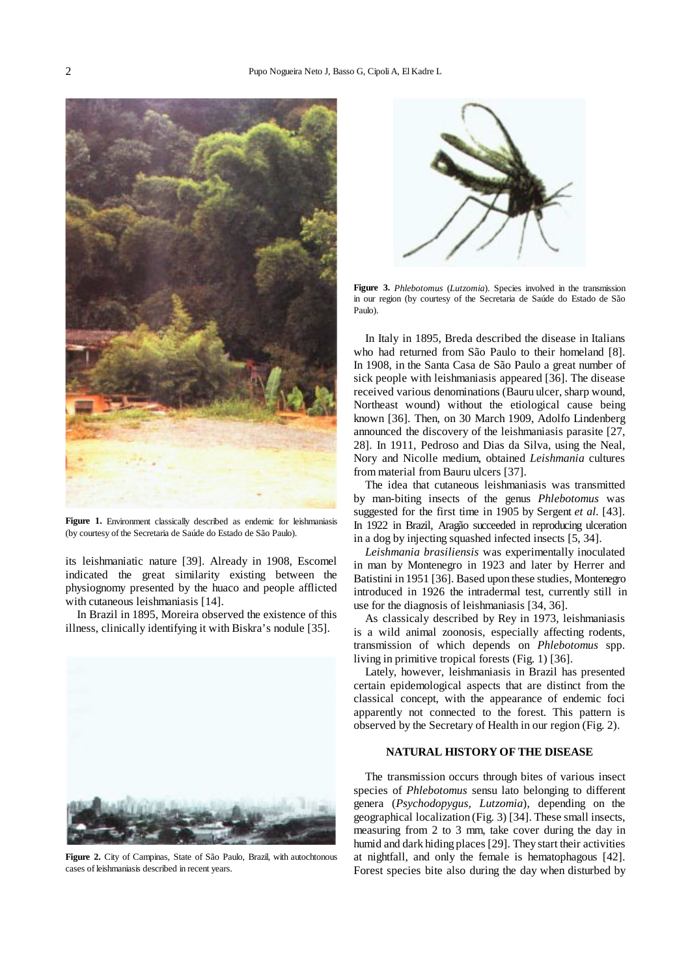

**Figure 1.** Environment classically described as endemic for leishmaniasis (by courtesy of the Secretaria de Saúde do Estado de São Paulo).

its leishmaniatic nature [39]. Already in 1908, Escomel indicated the great similarity existing between the physiognomy presented by the huaco and people afflicted with cutaneous leishmaniasis [14].

In Brazil in 1895, Moreira observed the existence of this illness, clinically identifying it with Biskra's nodule [35].



**Figure 2.** City of Campinas, State of São Paulo, Brazil, with autochtonous cases of leishmaniasis described in recent years.



**Figure 3.** *Phlebotomus* (*Lutzomia*). Species involved in the transmission in our region (by courtesy of the Secretaria de Saúde do Estado de São Paulo).

In Italy in 1895, Breda described the disease in Italians who had returned from São Paulo to their homeland [8]. In 1908, in the Santa Casa de São Paulo a great number of sick people with leishmaniasis appeared [36]. The disease received various denominations (Bauru ulcer, sharp wound, Northeast wound) without the etiological cause being known [36]. Then, on 30 March 1909, Adolfo Lindenberg announced the discovery of the leishmaniasis parasite [27, 28]. In 1911, Pedroso and Dias da Silva, using the Neal, Nory and Nicolle medium, obtained *Leishmania* cultures from material from Bauru ulcers [37].

The idea that cutaneous leishmaniasis was transmitted by man-biting insects of the genus *Phlebotomus* was suggested for the first time in 1905 by Sergent *et al.* [43]. In 1922 in Brazil, Aragão succeeded in reproducing ulceration in a dog by injecting squashed infected insects [5, 34].

*Leishmania brasiliensis* was experimentally inoculated in man by Montenegro in 1923 and later by Herrer and Batistini in 1951 [36]. Based upon these studies, Montenegro introduced in 1926 the intradermal test, currently still in use for the diagnosis of leishmaniasis [34, 36].

As classicaly described by Rey in 1973, leishmaniasis is a wild animal zoonosis, especially affecting rodents, transmission of which depends on *Phlebotomus* spp. living in primitive tropical forests (Fig. 1) [36].

Lately, however, leishmaniasis in Brazil has presented certain epidemological aspects that are distinct from the classical concept, with the appearance of endemic foci apparently not connected to the forest. This pattern is observed by the Secretary of Health in our region (Fig. 2).

#### **NATURAL HISTORY OF THE DISEASE**

The transmission occurs through bites of various insect species of *Phlebotomus* sensu lato belonging to different genera (*Psychodopygus, Lutzomia*), depending on the geographical localization (Fig. 3) [34]. These small insects, measuring from 2 to 3 mm, take cover during the day in humid and dark hiding places [29]. They start their activities at nightfall, and only the female is hematophagous [42]. Forest species bite also during the day when disturbed by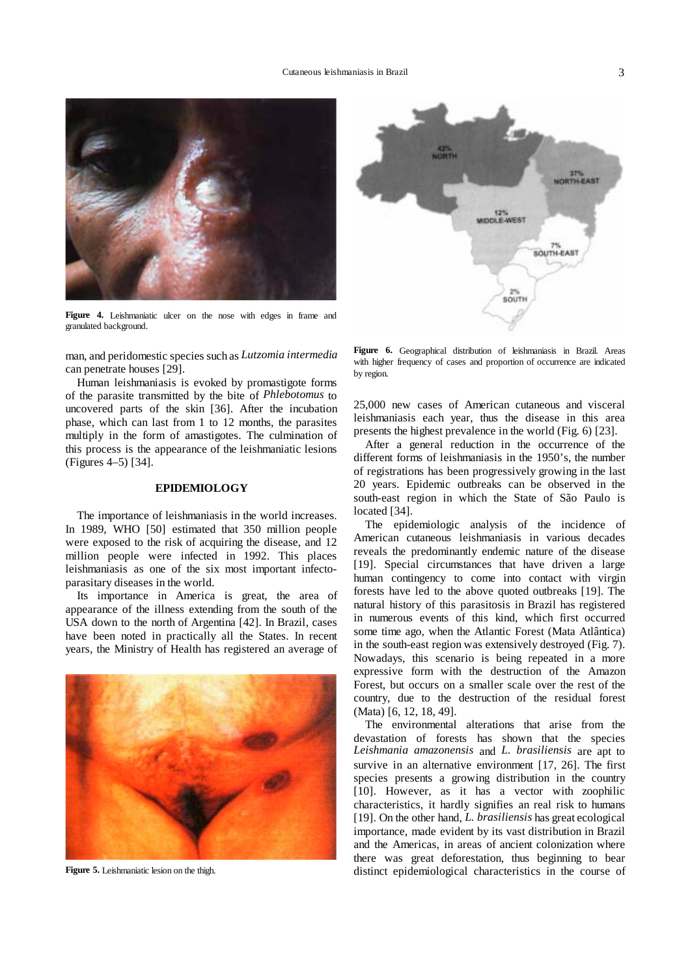

**Figure 4.** Leishmaniatic ulcer on the nose with edges in frame and granulated background.

man, and peridomestic species such as *Lutzomia intermedia* can penetrate houses [29].

Human leishmaniasis is evoked by promastigote forms of the parasite transmitted by the bite of *Phlebotomus* to uncovered parts of the skin [36]. After the incubation phase, which can last from 1 to 12 months, the parasites multiply in the form of amastigotes. The culmination of this process is the appearance of the leishmaniatic lesions (Figures 4–5) [34].

#### **EPIDEMIOLOGY**

The importance of leishmaniasis in the world increases. In 1989, WHO [50] estimated that 350 million people were exposed to the risk of acquiring the disease, and 12 million people were infected in 1992. This places leishmaniasis as one of the six most important infectoparasitary diseases in the world.

Its importance in America is great, the area of appearance of the illness extending from the south of the USA down to the north of Argentina [42]. In Brazil, cases have been noted in practically all the States. In recent years, the Ministry of Health has registered an average of



**Figure 5.** Leishmaniatic lesion on the thigh.

**VORTH-EAST** 12%<br>MIDDLE-WEST SOUTH-EAST SOUTH

**Figure 6.** Geographical distribution of leishmaniasis in Brazil. Areas with higher frequency of cases and proportion of occurrence are indicated by region.

25,000 new cases of American cutaneous and visceral leishmaniasis each year, thus the disease in this area presents the highest prevalence in the world (Fig. 6) [23].

After a general reduction in the occurrence of the different forms of leishmaniasis in the 1950's, the number of registrations has been progressively growing in the last 20 years. Epidemic outbreaks can be observed in the south-east region in which the State of São Paulo is located [34].

The epidemiologic analysis of the incidence of American cutaneous leishmaniasis in various decades reveals the predominantly endemic nature of the disease [19]. Special circumstances that have driven a large human contingency to come into contact with virgin forests have led to the above quoted outbreaks [19]. The natural history of this parasitosis in Brazil has registered in numerous events of this kind, which first occurred some time ago, when the Atlantic Forest (Mata Atlântica) in the south-east region was extensively destroyed [\(Fig. 7\).](#page-3-0)  Nowadays, this scenario is being repeated in a more expressive form with the destruction of the Amazon Forest, but occurs on a smaller scale over the rest of the country, due to the destruction of the residual forest (Mata) [6, 12, 18, 49].

The environmental alterations that arise from the devastation of forests has shown that the species *Leishmania amazonensis* and *L. brasiliensis* are apt to survive in an alternative environment [17, 26]. The first species presents a growing distribution in the country [10]. However, as it has a vector with zoophilic characteristics, it hardly signifies an real risk to humans [19]. On the other hand, *L. brasiliensis* has great ecological importance, made evident by its vast distribution in Brazil and the Americas, in areas of ancient colonization where there was great deforestation, thus beginning to bear distinct epidemiological characteristics in the course of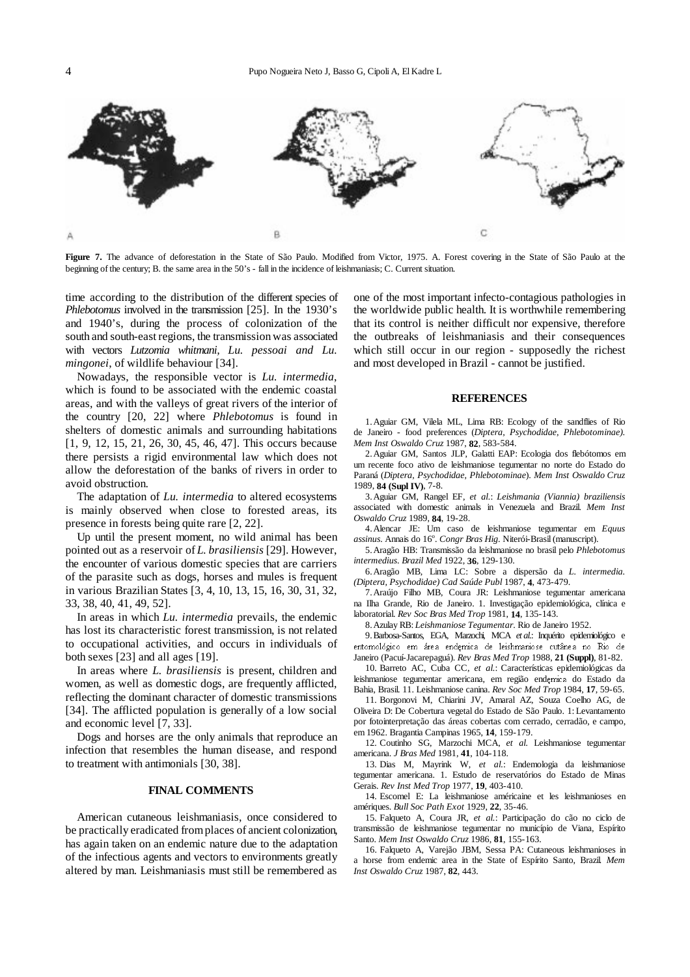<span id="page-3-0"></span>

Figure 7. The advance of deforestation in the State of São Paulo. Modified from Victor, 1975. A. Forest covering in the State of São Paulo at the beginning of the century; B. the same area in the 50's - fall in the incidence of leishmaniasis; C. Current situation.

time according to the distribution of the different species of *Phlebotomus* involved in the transmission [25]. In the 1930's and 1940's, during the process of colonization of the south and south-east regions, the transmission was associated with vectors *Lutzomia whitmani, Lu. pessoai and Lu. mingonei*, of wildlife behaviour [34].

Nowadays, the responsible vector is *Lu. intermedia*, which is found to be associated with the endemic coastal areas, and with the valleys of great rivers of the interior of the country [20, 22] where *Phlebotomus* is found in shelters of domestic animals and surrounding habitations [1, 9, 12, 15, 21, 26, 30, 45, 46, 47]. This occurs because there persists a rigid environmental law which does not allow the deforestation of the banks of rivers in order to avoid obstruction.

The adaptation of *Lu. intermedia* to altered ecosystems is mainly observed when close to forested areas, its presence in forests being quite rare [2, 22].

Up until the present moment, no wild animal has been pointed out as a reservoir of *L. brasiliensis* [29]. However, the encounter of various domestic species that are carriers of the parasite such as dogs, horses and mules is frequent in various Brazilian States [3, 4, 10, 13, 15, 16, 30, 31, 32, 33, 38, 40, 41, 49, 52].

In areas in which *Lu. intermedia* prevails, the endemic has lost its characteristic forest transmission, is not related to occupational activities, and occurs in individuals of both sexes [23] and all ages [19].

In areas where *L. brasiliensis* is present, children and women, as well as domestic dogs, are frequently afflicted, reflecting the dominant character of domestic transmissions [34]. The afflicted population is generally of a low social and economic level [7, 33].

Dogs and horses are the only animals that reproduce an infection that resembles the human disease, and respond to treatment with antimonials [30, 38].

#### **FINAL COMMENTS**

American cutaneous leishmaniasis, once considered to be practically eradicated from places of ancient colonization, has again taken on an endemic nature due to the adaptation of the infectious agents and vectors to environments greatly altered by man. Leishmaniasis must still be remembered as

one of the most important infecto-contagious pathologies in the worldwide public health. It is worthwhile remembering that its control is neither difficult nor expensive, therefore the outbreaks of leishmaniasis and their consequences which still occur in our region - supposedly the richest and most developed in Brazil - cannot be justified.

#### **REFERENCES**

1. Aguiar GM, Vilela ML, Lima RB: Ecology of the sandflies of Rio de Janeiro - food preferences (*Diptera, Psychodidae, Phlebotominae)*. *Mem Inst Oswaldo Cruz* 1987, **82**, 583-584.

2. Aguiar GM, Santos JLP, Galatti EAP: Ecologia dos flebótomos em um recente foco ativo de leishmaniose tegumentar no norte do Estado do Paraná (*Diptera, Psychodidae, Phlebotominae*). *Mem Inst Oswaldo Cruz* 1989, **84 (Supl IV)**, 7-8.

3. Aguiar GM, Rangel EF, *et al.*: *Leishmania (Viannia) braziliensis* associated with domestic animals in Venezuela and Brazil. *Mem Inst Oswaldo Cruz* 1989, **84**, 19-28.

4. Alencar JE: Um caso de leishmaniose tegumentar em *Equus*  assinus. Annais do 16<sup>°</sup>. *Congr Bras Hig*. Niterói-Brasil (manuscript).

5. Aragão HB: Transmissão da leishmaniose no brasil pelo *Phlebotomus intermedius*. *Brazil Med* 1922, **36**, 129-130.

6. Aragão MB, Lima LC: Sobre a dispersão da *L. intermedia. (Diptera, Psychodidae) Cad Saúde Publ* 1987, **4**, 473-479.

7. Araújo Filho MB, Coura JR: Leishmaniose tegumentar americana na Ilha Grande, Rio de Janeiro. 1. Investigação epidemiológica, clínica e laboratorial. *Rev Soc Bras Med Trop* 1981, **14**, 135-143.

8. Azulay RB: *Leishmaniose Tegumentar*. Rio de Janeiro 1952.

9. Barbosa-Santos, EGA, Marzochi, MCA *et al.*: Inquérito epidemiológico e entomológico em área endemica de leishmaniose cutânea no Rio de Janeiro (Pacuí-Jacarepaguá). *Rev Bras Med Trop* 1988, **21 (Suppl)**, 81-82.

10. Barreto AC, Cuba CC, *et al.*: Características epidemiológicas da leishmaniose tegumentar americana, em região endemica do Estado da Bahia, Brasil. 11. Leishmaniose canina. *Rev Soc Med Trop* 1984, **17**, 59-65.

11. Borgonovi M, Chiarini JV, Amaral AZ, Souza Coelho AG, de Oliveira D: De Cobertura vegetal do Estado de São Paulo. 1: Levantamento por fotointerpretação das áreas cobertas com cerrado, cerradão, e campo, em 1962. Bragantia Campinas 1965, **14**, 159-179.

12. Coutinho SG, Marzochi MCA, *et al.* Leishmaniose tegumentar americana. *J Bras Med* 1981, **41**, 104-118.

13. Dias M, Mayrink W, *et al.*: Endemologia da leishmaniose tegumentar americana. 1. Estudo de reservatórios do Estado de Minas Gerais. *Rev Inst Med Trop* 1977, **19**, 403-410.

14. Escomel E: La leishmaniose américaine et les leishmanioses en amériques. *Bull Soc Path Exot* 1929, **22**, 35-46.

15. Falqueto A, Coura JR, *et al.*: Participação do cão no ciclo de transmissão de leishmaniose tegumentar no município de Viana, Espírito Santo. *Mem Inst Oswaldo Cruz* 1986, **81**, 155-163.

16. Falqueto A, Varejão JBM, Sessa PA: Cutaneous leishmanioses in a horse from endemic area in the State of Espírito Santo, Brazil*. Mem Inst Oswaldo Cruz* 1987, **82**, 443.